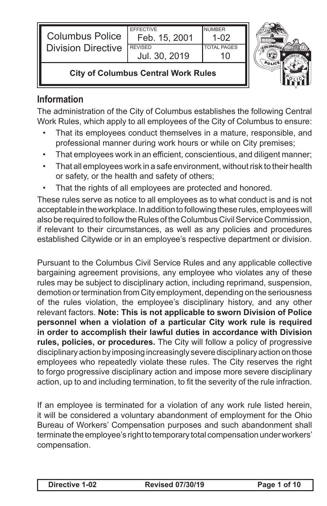| <b>Columbus Police</b>    | <b>FFFFCTIVE</b><br>Feb. 15, 2001 | <b>NUMBER</b><br>1-02 |  |
|---------------------------|-----------------------------------|-----------------------|--|
| <b>Division Directive</b> | <b>REVISED</b>                    | <b>TOTAL PAGES</b>    |  |
|                           | Jul. 30, 2019                     |                       |  |



#### **City of Columbus Central Work Rules**

# **Information**

The administration of the City of Columbus establishes the following Central Work Rules, which apply to all employees of the City of Columbus to ensure:

- That its employees conduct themselves in a mature, responsible, and professional manner during work hours or while on City premises;
- That employees work in an efficient, conscientious, and diligent manner;
- • That all employees work in a safe environment, withoutrisk to their health or safety, or the health and safety of others;
- That the rights of all employees are protected and honored.

These rules serve as notice to all employees as to what conduct is and is not acceptable in the workplace. In addition to following these rules, employees will also be required to follow the Rules of the Columbus Civil Service Commission, if relevant to their circumstances, as well as any policies and procedures established Citywide or in an employee's respective department or division.

Pursuant to the Columbus Civil Service Rules and any applicable collective bargaining agreement provisions, any employee who violates any of these rules may be subject to disciplinary action, including reprimand, suspension, demotion or termination from City employment, depending on the seriousness of the rules violation, the employee's disciplinary history, and any other relevant factors. **Note: This is not applicable to sworn Division of Police personnel when a violation of a particular City work rule is required in order to accomplish their lawful duties in accordance with Division rules, policies, or procedures.** The City will follow a policy of progressive disciplinary action by imposing increasingly severe disciplinary action on those employees who repeatedly violate these rules. The City reserves the right to forgo progressive disciplinary action and impose more severe disciplinary action, up to and including termination, to fit the severity of the rule infraction.

If an employee is terminated for a violation of any work rule listed herein, it will be considered a voluntary abandonment of employment for the Ohio Bureau of Workers' Compensation purposes and such abandonment shall terminate the employee's right to temporary total compensation under workers' compensation.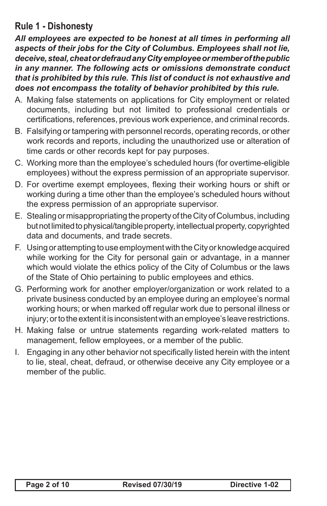# **Rule 1 - Dishonesty**

*All employees are expected to be honest at all times in performing all aspects of their jobs for the City of Columbus. Employees shall not lie, deceive, steal, cheat or defraud any City employee or member of the public in any manner. The following acts or omissions demonstrate conduct that is prohibited by this rule. This list of conduct is not exhaustive and does not encompass the totality of behavior prohibited by this rule.*

- A. Making false statements on applications for City employment or related documents, including but not limited to professional credentials or certifications, references, previous work experience, and criminal records.
- B. Falsifying or tampering with personnel records, operating records, or other work records and reports, including the unauthorized use or alteration of time cards or other records kept for pay purposes.
- C. Working more than the employee's scheduled hours (for overtime-eligible employees) without the express permission of an appropriate supervisor.
- D. For overtime exempt employees, flexing their working hours or shift or working during a time other than the employee's scheduled hours without the express permission of an appropriate supervisor.
- E. Stealing or misappropriating the property of theCity ofColumbus, including but not limited to physical/tangible property, intellectual property, copyrighted data and documents, and trade secrets.
- F. Using or attempting to use employment with the City or knowledge acquired while working for the City for personal gain or advantage, in a manner which would violate the ethics policy of the City of Columbus or the laws of the State of Ohio pertaining to public employees and ethics.
- G. Performing work for another employer/organization or work related to a private business conducted by an employee during an employee's normal working hours; or when marked off regular work due to personal illness or injury; or to the extent it is inconsistent with an employee's leave restrictions.
- H. Making false or untrue statements regarding work-related matters to management, fellow employees, or a member of the public.
- I. Engaging in any other behavior not specifically listed herein with the intent to lie, steal, cheat, defraud, or otherwise deceive any City employee or a member of the public.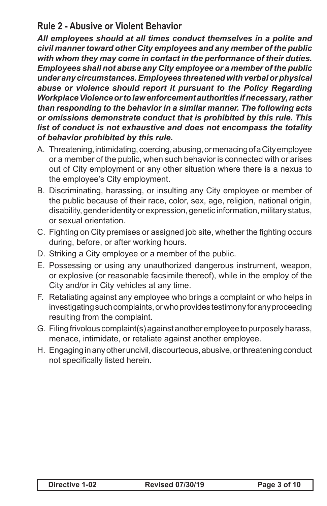#### **Rule 2 - Abusive or Violent Behavior**

*All employees should at all times conduct themselves in a polite and civil manner toward other City employees and any member of the public with whom they may come in contact in the performance of their duties. Employees shall not abuse any City employee or a member of the public under any circumstances. Employees threatened with verbal or physical abuse or violence should report it pursuant to the Policy Regarding Workplace Violence or to law enforcement authorities if necessary, rather than responding to the behavior in a similar manner. The following acts or omissions demonstrate conduct that is prohibited by this rule. This list of conduct is not exhaustive and does not encompass the totality of behavior prohibited by this rule.*

- A. Threatening, intimidating, coercing, abusing, or menacing of a City employee or a member of the public, when such behavior is connected with or arises out of City employment or any other situation where there is a nexus to the employee's City employment.
- B. Discriminating, harassing, or insulting any City employee or member of the public because of their race, color, sex, age, religion, national origin, disability, genderidentityorexpression, genetic information, military status, or sexual orientation.
- C. Fighting on City premises or assigned job site, whether the fighting occurs during, before, or after working hours.
- D. Striking a City employee or a member of the public.
- E. Possessing or using any unauthorized dangerous instrument, weapon, or explosive (or reasonable facsimile thereof), while in the employ of the City and/or in City vehicles at any time.
- F. Retaliating against any employee who brings a complaint or who helps in investigating such complaints, or who provides testimony for any proceeding resulting from the complaint.
- G. Filing frivolous complaint(s) against another employee to purposely harass, menace, intimidate, or retaliate against another employee.
- H. Engaging in any other uncivil, discourteous, abusive, or threatening conduct not specifically listed herein.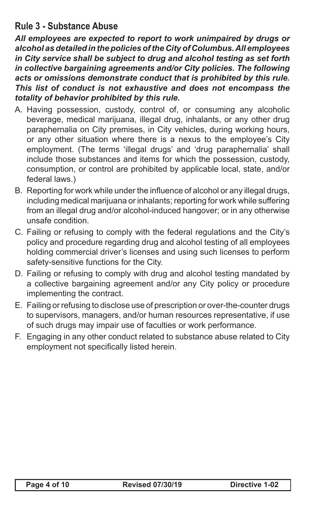# **Rule 3 - Substance Abuse**

*All employees are expected to report to work unimpaired by drugs or alcohol as detailed in the policies of the City of Columbus. All employees in City service shall be subject to drug and alcohol testing as set forth in collective bargaining agreements and/or City policies. The following acts or omissions demonstrate conduct that is prohibited by this rule. This list of conduct is not exhaustive and does not encompass the totality of behavior prohibited by this rule.*

- A. Having possession, custody, control of, or consuming any alcoholic beverage, medical marijuana, illegal drug, inhalants, or any other drug paraphernalia on City premises, in City vehicles, during working hours, or any other situation where there is a nexus to the employee's City employment. (The terms 'illegal drugs' and 'drug paraphernalia' shall include those substances and items for which the possession, custody, consumption, or control are prohibited by applicable local, state, and/or federal laws.)
- B. Reporting for work while under the influence of alcohol or any illegal drugs, including medical marijuana or inhalants; reporting for work while suffering from an illegal drug and/or alcohol-induced hangover; or in any otherwise unsafe condition.
- C. Failing or refusing to comply with the federal regulations and the City's policy and procedure regarding drug and alcohol testing of all employees holding commercial driver's licenses and using such licenses to perform safety-sensitive functions for the City.
- D. Failing or refusing to comply with drug and alcohol testing mandated by a collective bargaining agreement and/or any City policy or procedure implementing the contract.
- E. Failing or refusing to disclose use of prescription or over-the-counter drugs to supervisors, managers, and/or human resources representative, if use of such drugs may impair use of faculties or work performance.
- F. Engaging in any other conduct related to substance abuse related to City employment not specifically listed herein.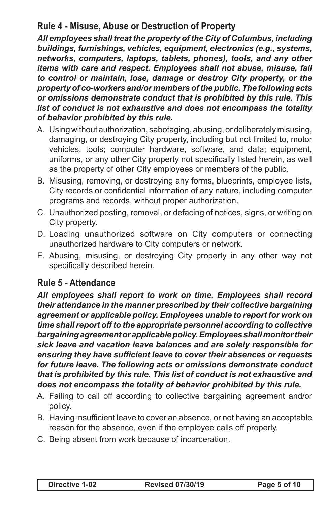## **Rule 4 - Misuse, Abuse or Destruction of Property**

*All employees shall treat the property of the City of Columbus, including buildings, furnishings, vehicles, equipment, electronics (e.g., systems, networks, computers, laptops, tablets, phones), tools, and any other items with care and respect. Employees shall not abuse, misuse, fail to control or maintain, lose, damage or destroy City property, or the property of co-workers and/or members of the public. The following acts or omissions demonstrate conduct that is prohibited by this rule. This list of conduct is not exhaustive and does not encompass the totality of behavior prohibited by this rule.*

- A. Using without authorization, sabotaging, abusing, or deliberately misusing, damaging, or destroying City property, including but not limited to, motor vehicles; tools; computer hardware, software, and data; equipment, uniforms, or any other City property not specifically listed herein, as well as the property of other City employees or members of the public.
- B. Misusing, removing, or destroying any forms, blueprints, employee lists, City records or confidential information of any nature, including computer programs and records, without proper authorization.
- C. Unauthorized posting, removal, or defacing of notices, signs, or writing on City property.
- D. Loading unauthorized software on City computers or connecting unauthorized hardware to City computers or network.
- E. Abusing, misusing, or destroying City property in any other way not specifically described herein.

#### **Rule 5 - Attendance**

*All employees shall report to work on time. Employees shall record their attendance in the manner prescribed by their collective bargaining agreement or applicable policy. Employees unable to report for work on time shall report off to the appropriate personnel according to collective bargaining agreement or applicable policy. Employees shall monitor their sick leave and vacation leave balances and are solely responsible for ensuring they have sufficient leave to cover their absences or requests for future leave. The following acts or omissions demonstrate conduct that is prohibited by this rule. This list of conduct is not exhaustive and does not encompass the totality of behavior prohibited by this rule.*

- A. Failing to call off according to collective bargaining agreement and/or policy.
- B. Having insufficient leave to cover an absence, or not having an acceptable reason for the absence, even if the employee calls off properly.
- C. Being absent from work because of incarceration.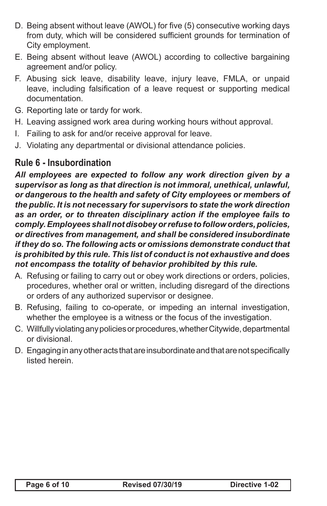- D. Being absent without leave (AWOL) for five (5) consecutive working days from duty, which will be considered sufficient grounds for termination of City employment.
- E. Being absent without leave (AWOL) according to collective bargaining agreement and/or policy.
- F. Abusing sick leave, disability leave, injury leave, FMLA, or unpaid leave, including falsification of a leave request or supporting medical documentation.
- G. Reporting late or tardy for work.
- H. Leaving assigned work area during working hours without approval.
- I. Failing to ask for and/or receive approval for leave.
- J. Violating any departmental or divisional attendance policies.

## **Rule 6 - Insubordination**

*All employees are expected to follow any work direction given by a supervisor as long as that direction is not immoral, unethical, unlawful, or dangerous to the health and safety of City employees or members of the public. It is not necessary for supervisors to state the work direction as an order, or to threaten disciplinary action if the employee fails to comply. Employees shall not disobey or refuse to follow orders, policies, or directives from management, and shall be considered insubordinate if they do so. The following acts or omissions demonstrate conduct that is prohibited by this rule. This list of conduct is not exhaustive and does not encompass the totality of behavior prohibited by this rule.*

- A. Refusing or failing to carry out or obey work directions or orders, policies, procedures, whether oral or written, including disregard of the directions or orders of any authorized supervisor or designee.
- B. Refusing, failing to co-operate, or impeding an internal investigation, whether the employee is a witness or the focus of the investigation.
- C. Willfully violating any policies or procedures, whether Citywide, departmental or divisional.
- D. Engaging in any other acts that are insubordinate and that are not specifically listed herein.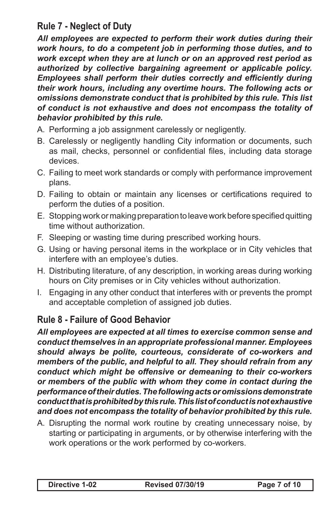# **Rule 7 - Neglect of Duty**

*All employees are expected to perform their work duties during their work hours, to do a competent job in performing those duties, and to work except when they are at lunch or on an approved rest period as authorized by collective bargaining agreement or applicable policy. Employees shall perform their duties correctly and efficiently during their work hours, including any overtime hours. The following acts or omissions demonstrate conduct that is prohibited by this rule. This list of conduct is not exhaustive and does not encompass the totality of behavior prohibited by this rule.*

- A. Performing a job assignment carelessly or negligently.
- B. Carelessly or negligently handling City information or documents, such as mail, checks, personnel or confidential files, including data storage devices.
- C. Failing to meet work standards or comply with performance improvement plans.
- D. Failing to obtain or maintain any licenses or certifications required to perform the duties of a position.
- E. Stopping work or making preparation to leave work before specified quitting time without authorization.
- F. Sleeping or wasting time during prescribed working hours.
- G. Using or having personal items in the workplace or in City vehicles that interfere with an employee's duties.
- H. Distributing literature, of any description, in working areas during working hours on City premises or in City vehicles without authorization.
- I. Engaging in any other conduct that interferes with or prevents the prompt and acceptable completion of assigned job duties.

# **Rule 8 - Failure of Good Behavior**

*All employees are expected at all times to exercise common sense and conduct themselves in an appropriate professional manner. Employees should always be polite, courteous, considerate of co-workers and members of the public, and helpful to all. They should refrain from any conduct which might be offensive or demeaning to their co-workers or members of the public with whom they come in contact during the performance of their duties. The following acts or omissions demonstrate conduct that is prohibited by this rule. This list of conduct is not exhaustive and does not encompass the totality of behavior prohibited by this rule.*

A. Disrupting the normal work routine by creating unnecessary noise, by starting or participating in arguments, or by otherwise interfering with the work operations or the work performed by co-workers.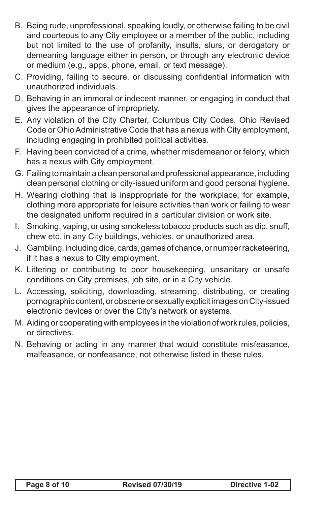- B. Being rude, unprofessional, speaking loudly, or otherwise failing to be civil and courteous to any City employee or a member of the public, including but not limited to the use of profanity, insults, slurs, or derogatory or demeaning language either in person, or through any electronic device or medium (e.g., apps, phone, email, or text message).
- C. Providing, failing to secure, or discussing confidential information with unauthorized individuals.
- D. Behaving in an immoral or indecent manner, or engaging in conduct that gives the appearance of impropriety.
- E. Any violation of the City Charter, Columbus City Codes, Ohio Revised Code or Ohio Administrative Code that has a nexus with City employment. including engaging in prohibited political activities.
- F. Having been convicted of a crime, whether misdemeanor or felony, which has a nexus with City employment.
- G. Failing to maintain a clean personal and professional appearance, including clean personal clothing or city-issued uniform and good personal hygiene.
- H. Wearing clothing that is inappropriate for the workplace, for example, clothing more appropriate for leisure activities than work or failing to wear the designated uniform required in a particular division or work site.
- I. Smoking, vaping, or using smokeless tobacco products such as dip, snuff, chew etc. in any City buildings, vehicles, or unauthorized area.
- J. Gambling, including dice, cards, games of chance, or number racketeering, if it has a nexus to City employment.
- K. Littering or contributing to poor housekeeping, unsanitary or unsafe conditions on City premises, job site, or in a City vehicle.
- L. Accessing, soliciting, downloading, streaming, distributing, or creating pornographic content,orobsceneor sexuallyexplicitimagesonCity-issued electronic devices or over the City's network or systems.
- M. Aiding or cooperating with employees in the violation of work rules, policies, or directives.
- N. Behaving or acting in any manner that would constitute misfeasance, malfeasance, or nonfeasance, not otherwise listed in these rules.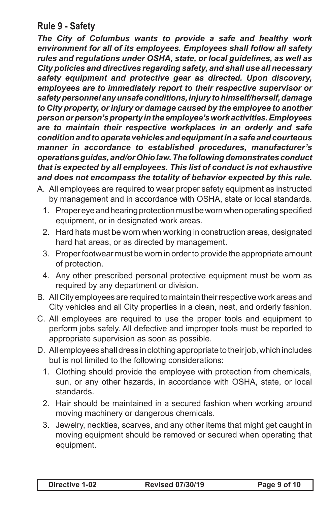#### **Rule 9 - Safety**

*The City of Columbus wants to provide a safe and healthy work environment for all of its employees. Employees shall follow all safety rules and regulations under OSHA, state, or local guidelines, as well as City policies and directives regarding safety, and shall use all necessary safety equipment and protective gear as directed. Upon discovery, employees are to immediately report to their respective supervisor or safety personnel any unsafe conditions, injury to himself/herself, damage to City property, or injury or damage caused by the employee to another person or person's property in the employee's work activities. Employees are to maintain their respective workplaces in an orderly and safe condition and to operate vehicles and equipment in a safe and courteous manner in accordance to established procedures, manufacturer's operations guides, and/or Ohio law. The following demonstrates conduct that is expected by all employees. This list of conduct is not exhaustive and does not encompass the totality of behavior expected by this rule.*

- A. All employees are required to wear proper safety equipment as instructed by management and in accordance with OSHA, state or local standards.
	- 1. Proper eye and hearing protection must be worn when operating specified equipment, or in designated work areas.
	- 2. Hard hats must be worn when working in construction areas, designated hard hat areas, or as directed by management.
	- 3. Proper footwear must be worn in order to provide the appropriate amount of protection.
	- 4. Any other prescribed personal protective equipment must be worn as required by any department or division.
- B. All City employees are required to maintain their respective work areas and City vehicles and all City properties in a clean, neat, and orderly fashion.
- C. All employees are required to use the proper tools and equipment to perform jobs safely. All defective and improper tools must be reported to appropriate supervision as soon as possible.
- D. All employees shall dress in clothing appropriate to their job, which includes but is not limited to the following considerations:
	- 1. Clothing should provide the employee with protection from chemicals, sun, or any other hazards, in accordance with OSHA, state, or local standards.
	- 2. Hair should be maintained in a secured fashion when working around moving machinery or dangerous chemicals.
	- 3. Jewelry, neckties, scarves, and any other items that might get caught in moving equipment should be removed or secured when operating that equipment.